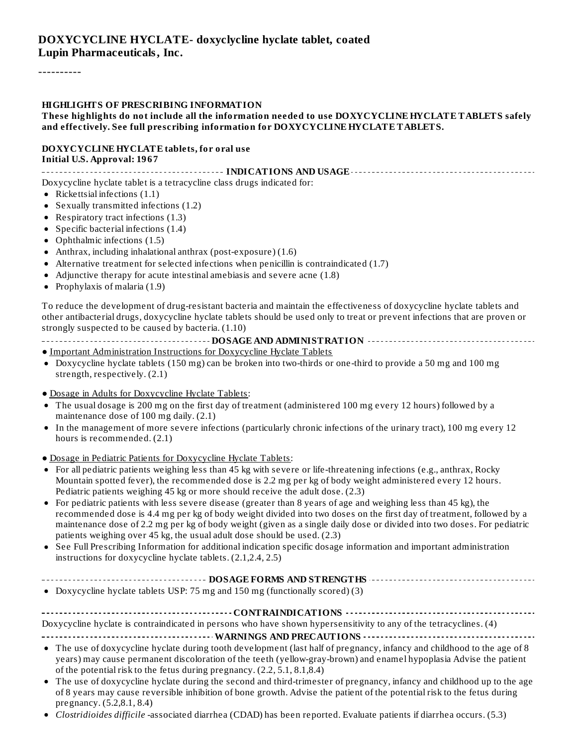#### **DOXYCYCLINE HYCLATE- doxyclycline hyclate tablet, coated Lupin Pharmaceuticals, Inc.**

----------

#### **HIGHLIGHTS OF PRESCRIBING INFORMATION**

#### **These highlights do not include all the information needed to use DOXYCYCLINE HYCLATE TABLETS safely and effectively. See full prescribing information for DOXYCYCLINE HYCLATE TABLETS.**

#### **DOXYCYCLINE HYCLATE tablets, for oral use Initial U.S. Approval: 1967**

**INDICATIONS AND USAGE**

Doxycycline hyclate tablet is a tetracycline class drugs indicated for:

- Rickettsial infections  $(1.1)$
- Sexually transmitted infections (1.2)
- Respiratory tract infections (1.3)
- Specific bacterial infections  $(1.4)$
- Ophthalmic infections (1.5)
- Anthrax, including inhalational anthrax (post-exposure) (1.6)
- Alternative treatment for selected infections when penicillin is contraindicated (1.7)
- Adjunctive therapy for acute intestinal amebiasis and severe acne (1.8)
- Prophylaxis of malaria (1.9)  $\bullet$

To reduce the development of drug-resistant bacteria and maintain the effectiveness of doxycycline hyclate tablets and other antibacterial drugs, doxycycline hyclate tablets should be used only to treat or prevent infections that are proven or strongly suspected to be caused by bacteria. (1.10)

#### **DOSAGE AND ADMINISTRATION**

- Important Administration Instructions for Doxycycline Hyclate Tablets
- Doxycycline hyclate tablets (150 mg) can be broken into two-thirds or one-third to provide a 50 mg and 100 mg strength, respectively. (2.1)
- Dosage in Adults for Doxycycline Hyclate Tablets:
- The usual dosage is 200 mg on the first day of treatment (administered 100 mg every 12 hours) followed by a maintenance dose of 100 mg daily. (2.1)
- In the management of more severe infections (particularly chronic infections of the urinary tract), 100 mg every 12  $\bullet$ hours is recommended. (2.1)
- Dosage in Pediatric Patients for Doxycycline Hyclate Tablets:
- For all pediatric patients weighing less than 45 kg with severe or life-threatening infections (e.g., anthrax, Rocky Mountain spotted fever), the recommended dose is 2.2 mg per kg of body weight administered every 12 hours. Pediatric patients weighing 45 kg or more should receive the adult dose. (2.3)
- For pediatric patients with less severe disease (greater than 8 years of age and weighing less than 45 kg), the recommended dose is 4.4 mg per kg of body weight divided into two doses on the first day of treatment, followed by a maintenance dose of 2.2 mg per kg of body weight (given as a single daily dose or divided into two doses. For pediatric patients weighing over 45 kg, the usual adult dose should be used. (2.3)
- See Full Prescribing Information for additional indication specific dosage information and important administration instructions for doxycycline hyclate tablets. (2.1,2.4, 2.5)
- **DOSAGE FORMS AND STRENGTHS**
- Doxycycline hyclate tablets USP: 75 mg and 150 mg (functionally scored) (3)

**CONTRAINDICATIONS**

Doxycycline hyclate is contraindicated in persons who have shown hypersensitivity to any of the tetracyclines. (4)

**WARNINGS AND PRECAUTIONS**

- The use of doxycycline hyclate during tooth development (last half of pregnancy, infancy and childhood to the age of 8 years) may cause permanent discoloration of the teeth (yellow-gray-brown) and enamel hypoplasia Advise the patient of the potential risk to the fetus during pregnancy. (2.2, 5.1, 8.1,8.4)
- The use of doxycycline hyclate during the second and third-trimester of pregnancy, infancy and childhood up to the age of 8 years may cause reversible inhibition of bone growth. Advise the patient of the potential risk to the fetus during pregnancy. (5.2,8.1, 8.4)
- *Clostridioides difficile* -associated diarrhea (CDAD) has been reported. Evaluate patients if diarrhea occurs. (5.3)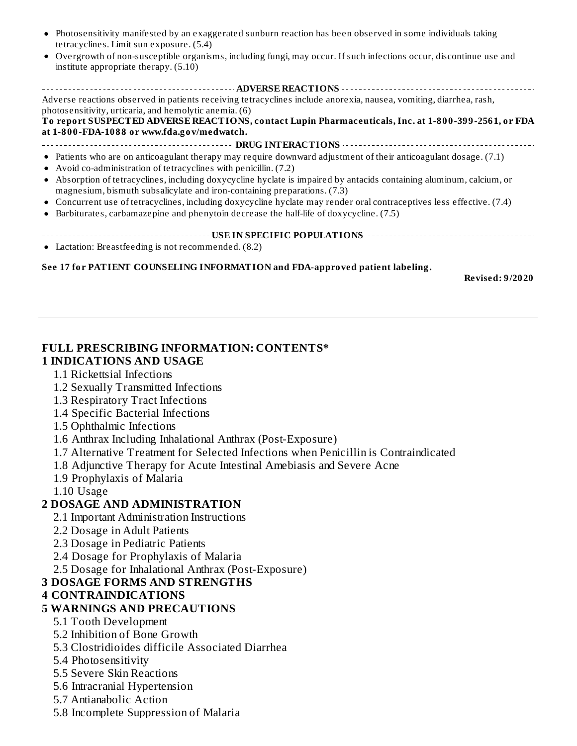- Photosensitivity manifested by an exaggerated sunburn reaction has been observed in some individuals taking  $\bullet$ tetracyclines. Limit sun exposure. (5.4)
- Overgrowth of non-susceptible organisms, including fungi, may occur. If such infections occur, discontinue use and  $\bullet$ institute appropriate therapy. (5.10)

**ADVERSE REACTIONS** Adverse reactions observed in patients receiving tetracyclines include anorexia, nausea, vomiting, diarrhea, rash, photosensitivity, urticaria, and hemolytic anemia. (6) **To report SUSPECTED ADVERSE REACTIONS, contact Lupin Pharmaceuticals, Inc. at 1-800-399-2561, or FDA**

**at 1-800-FDA-1088 or www.fda.gov/medwatch.**

- **DRUG INTERACTIONS** Patients who are on anticoagulant therapy may require downward adjustment of their anticoagulant dosage. (7.1)
- Avoid co-administration of tetracyclines with penicillin. (7.2)
- Absorption of tetracyclines, including doxycycline hyclate is impaired by antacids containing aluminum, calcium, or  $\bullet$ magnesium, bismuth subsalicylate and iron-containing preparations. (7.3)
- Concurrent use of tetracyclines, including doxycycline hyclate may render oral contraceptives less effective. (7.4)
- Barbiturates, carbamazepine and phenytoin decrease the half-life of doxycycline. (7.5)  $\bullet$
- **USE IN SPECIFIC POPULATIONS** Lactation: Breastfeeding is not recommended. (8.2)

#### **See 17 for PATIENT COUNSELING INFORMATION and FDA-approved patient labeling.**

**Revised: 9/2020**

#### **FULL PRESCRIBING INFORMATION: CONTENTS\* 1 INDICATIONS AND USAGE**

- 1.1 Rickettsial Infections
- 1.2 Sexually Transmitted Infections
- 1.3 Respiratory Tract Infections
- 1.4 Specific Bacterial Infections
- 1.5 Ophthalmic Infections
- 1.6 Anthrax Including Inhalational Anthrax (Post-Exposure)
- 1.7 Alternative Treatment for Selected Infections when Penicillin is Contraindicated
- 1.8 Adjunctive Therapy for Acute Intestinal Amebiasis and Severe Acne
- 1.9 Prophylaxis of Malaria
- 1.10 Usage

#### **2 DOSAGE AND ADMINISTRATION**

- 2.1 Important Administration Instructions
- 2.2 Dosage in Adult Patients
- 2.3 Dosage in Pediatric Patients
- 2.4 Dosage for Prophylaxis of Malaria
- 2.5 Dosage for Inhalational Anthrax (Post-Exposure)

#### **3 DOSAGE FORMS AND STRENGTHS**

#### **4 CONTRAINDICATIONS**

#### **5 WARNINGS AND PRECAUTIONS**

- 5.1 Tooth Development
- 5.2 Inhibition of Bone Growth
- 5.3 Clostridioides difficile Associated Diarrhea
- 5.4 Photosensitivity
- 5.5 Severe Skin Reactions
- 5.6 Intracranial Hypertension
- 5.7 Antianabolic Action
- 5.8 Incomplete Suppression of Malaria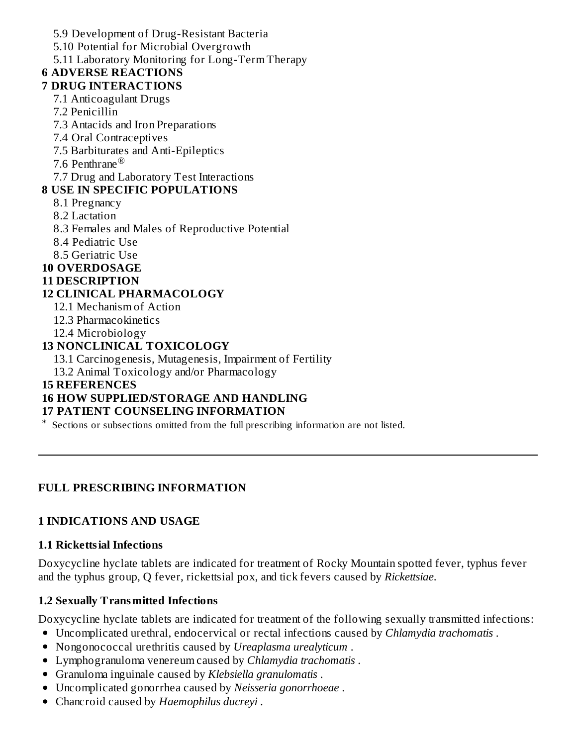5.9 Development of Drug-Resistant Bacteria

5.10 Potential for Microbial Overgrowth

5.11 Laboratory Monitoring for Long-Term Therapy

# **6 ADVERSE REACTIONS**

- **7 DRUG INTERACTIONS** 7.1 Anticoagulant Drugs
	- 7.2 Penicillin
	- 7.3 Antacids and Iron Preparations
	- 7.4 Oral Contraceptives
	- 7.5 Barbiturates and Anti-Epileptics
	- 7.6 Penthrane ®

7.7 Drug and Laboratory Test Interactions

# **8 USE IN SPECIFIC POPULATIONS**

- 8.1 Pregnancy
- 8.2 Lactation
- 8.3 Females and Males of Reproductive Potential
- 8.4 Pediatric Use
- 8.5 Geriatric Use

## **10 OVERDOSAGE**

### **11 DESCRIPTION**

## **12 CLINICAL PHARMACOLOGY**

- 12.1 Mechanism of Action
- 12.3 Pharmacokinetics
- 12.4 Microbiology

## **13 NONCLINICAL TOXICOLOGY**

13.1 Carcinogenesis, Mutagenesis, Impairment of Fertility

13.2 Animal Toxicology and/or Pharmacology

### **15 REFERENCES**

# **16 HOW SUPPLIED/STORAGE AND HANDLING**

## **17 PATIENT COUNSELING INFORMATION**

\* Sections or subsections omitted from the full prescribing information are not listed.

## **FULL PRESCRIBING INFORMATION**

## **1 INDICATIONS AND USAGE**

## **1.1 Rickettsial Infections**

Doxycycline hyclate tablets are indicated for treatment of Rocky Mountain spotted fever, typhus fever and the typhus group, Q fever, rickettsial pox, and tick fevers caused by *Rickettsiae*.

# **1.2 Sexually Transmitted Infections**

Doxycycline hyclate tablets are indicated for treatment of the following sexually transmitted infections:

- Uncomplicated urethral, endocervical or rectal infections caused by *Chlamydia trachomatis* .
- Nongonococcal urethritis caused by *Ureaplasma urealyticum* .
- Lymphogranuloma venereum caused by *Chlamydia trachomatis* .
- Granuloma inguinale caused by *Klebsiella granulomatis* .
- Uncomplicated gonorrhea caused by *Neisseria gonorrhoeae* .
- Chancroid caused by *Haemophilus ducreyi* .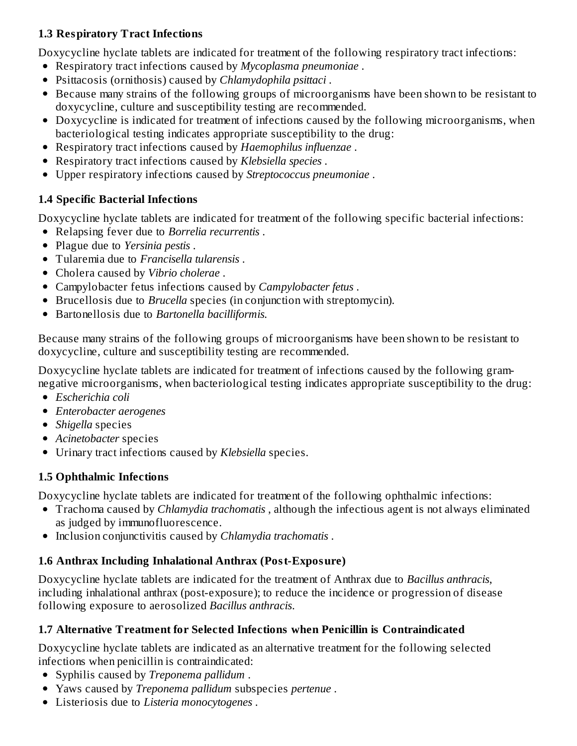### **1.3 Respiratory Tract Infections**

Doxycycline hyclate tablets are indicated for treatment of the following respiratory tract infections:

- Respiratory tract infections caused by *Mycoplasma pneumoniae* .
- Psittacosis (ornithosis) caused by *Chlamydophila psittaci* .
- Because many strains of the following groups of microorganisms have been shown to be resistant to doxycycline, culture and susceptibility testing are recommended.
- Doxycycline is indicated for treatment of infections caused by the following microorganisms, when bacteriological testing indicates appropriate susceptibility to the drug:
- Respiratory tract infections caused by *Haemophilus influenzae* .
- Respiratory tract infections caused by *Klebsiella species* .
- Upper respiratory infections caused by *Streptococcus pneumoniae* .

### **1.4 Specific Bacterial Infections**

Doxycycline hyclate tablets are indicated for treatment of the following specific bacterial infections:

- Relapsing fever due to *Borrelia recurrentis* .
- Plague due to *Yersinia pestis* .
- Tularemia due to *Francisella tularensis* .
- Cholera caused by *Vibrio cholerae* .
- Campylobacter fetus infections caused by *Campylobacter fetus* .
- Brucellosis due to *Brucella* species (in conjunction with streptomycin).
- Bartonellosis due to *Bartonella bacilliformis.*

Because many strains of the following groups of microorganisms have been shown to be resistant to doxycycline, culture and susceptibility testing are recommended.

Doxycycline hyclate tablets are indicated for treatment of infections caused by the following gramnegative microorganisms, when bacteriological testing indicates appropriate susceptibility to the drug:

- *Escherichia coli*
- *Enterobacter aerogenes*
- *Shigella* species
- *Acinetobacter* species
- Urinary tract infections caused by *Klebsiella* species.

### **1.5 Ophthalmic Infections**

Doxycycline hyclate tablets are indicated for treatment of the following ophthalmic infections:

- Trachoma caused by *Chlamydia trachomatis* , although the infectious agent is not always eliminated as judged by immunofluorescence.
- Inclusion conjunctivitis caused by *Chlamydia trachomatis* .

## **1.6 Anthrax Including Inhalational Anthrax (Post-Exposure)**

Doxycycline hyclate tablets are indicated for the treatment of Anthrax due to *Bacillus anthracis*, including inhalational anthrax (post-exposure); to reduce the incidence or progression of disease following exposure to aerosolized *Bacillus anthracis*.

### **1.7 Alternative Treatment for Selected Infections when Penicillin is Contraindicated**

Doxycycline hyclate tablets are indicated as an alternative treatment for the following selected infections when penicillin is contraindicated:

- Syphilis caused by *Treponema pallidum* .
- Yaws caused by *Treponema pallidum* subspecies *pertenue* .
- Listeriosis due to *Listeria monocytogenes* .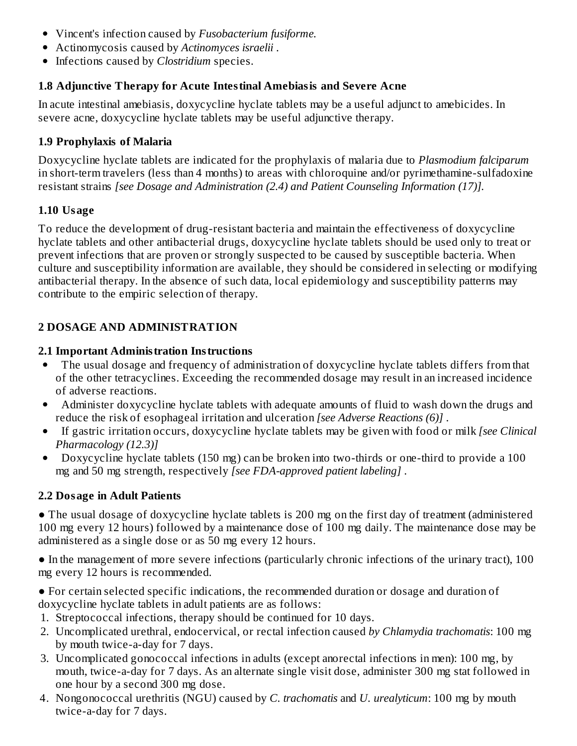- Vincent's infection caused by *Fusobacterium fusiforme.*
- Actinomycosis caused by *Actinomyces israelii* .
- Infections caused by *Clostridium* species.

#### **1.8 Adjunctive Therapy for Acute Intestinal Amebiasis and Severe Acne**

In acute intestinal amebiasis, doxycycline hyclate tablets may be a useful adjunct to amebicides. In severe acne, doxycycline hyclate tablets may be useful adjunctive therapy.

### **1.9 Prophylaxis of Malaria**

Doxycycline hyclate tablets are indicated for the prophylaxis of malaria due to *Plasmodium falciparum* in short-term travelers (less than 4 months) to areas with chloroquine and/or pyrimethamine-sulfadoxine resistant strains *[see Dosage and Administration (2.4) and Patient Counseling Information (17)].*

#### **1.10 Usage**

To reduce the development of drug-resistant bacteria and maintain the effectiveness of doxycycline hyclate tablets and other antibacterial drugs, doxycycline hyclate tablets should be used only to treat or prevent infections that are proven or strongly suspected to be caused by susceptible bacteria. When culture and susceptibility information are available, they should be considered in selecting or modifying antibacterial therapy. In the absence of such data, local epidemiology and susceptibility patterns may contribute to the empiric selection of therapy.

### **2 DOSAGE AND ADMINISTRATION**

#### **2.1 Important Administration Instructions**

- The usual dosage and frequency of administration of doxycycline hyclate tablets differs from that  $\bullet$ of the other tetracyclines. Exceeding the recommended dosage may result in an increased incidence of adverse reactions.
- Administer doxycycline hyclate tablets with adequate amounts of fluid to wash down the drugs and  $\bullet$ reduce the risk of esophageal irritation and ulceration *[see Adverse Reactions (6)]* .
- If gastric irritation occurs, doxycycline hyclate tablets may be given with food or milk *[see Clinical*  $\bullet$ *Pharmacology (12.3)]*
- Doxycycline hyclate tablets (150 mg) can be broken into two-thirds or one-third to provide a 100  $\bullet$ mg and 50 mg strength, respectively *[see FDA-approved patient labeling]* .

#### **2.2 Dosage in Adult Patients**

• The usual dosage of doxycycline hyclate tablets is 200 mg on the first day of treatment (administered 100 mg every 12 hours) followed by a maintenance dose of 100 mg daily. The maintenance dose may be administered as a single dose or as 50 mg every 12 hours.

● In the management of more severe infections (particularly chronic infections of the urinary tract), 100 mg every 12 hours is recommended.

● For certain selected specific indications, the recommended duration or dosage and duration of doxycycline hyclate tablets in adult patients are as follows:

- 1. Streptococcal infections, therapy should be continued for 10 days.
- 2. Uncomplicated urethral, endocervical, or rectal infection caused *by Chlamydia trachomatis*: 100 mg by mouth twice-a-day for 7 days.
- 3. Uncomplicated gonococcal infections in adults (except anorectal infections in men): 100 mg, by mouth, twice-a-day for 7 days. As an alternate single visit dose, administer 300 mg stat followed in one hour by a second 300 mg dose.
- 4. Nongonococcal urethritis (NGU) caused by *C. trachomatis* and *U. urealyticum*: 100 mg by mouth twice-a-day for 7 days.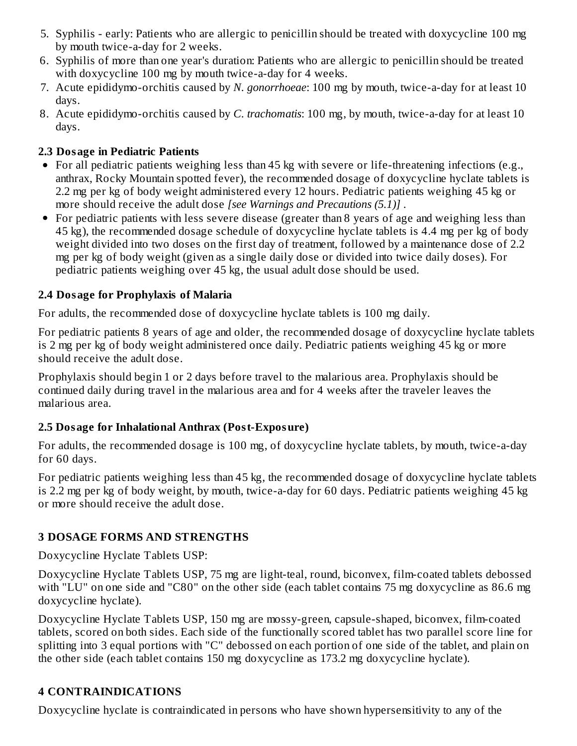- 5. Syphilis early: Patients who are allergic to penicillin should be treated with doxycycline 100 mg by mouth twice-a-day for 2 weeks.
- 6. Syphilis of more than one year's duration: Patients who are allergic to penicillin should be treated with doxycycline 100 mg by mouth twice-a-day for 4 weeks.
- 7. Acute epididymo-orchitis caused by *N. gonorrhoeae*: 100 mg by mouth, twice-a-day for at least 10 days.
- 8. Acute epididymo-orchitis caused by *C. trachomatis*: 100 mg, by mouth, twice-a-day for at least 10 days.

#### **2.3 Dosage in Pediatric Patients**

- For all pediatric patients weighing less than 45 kg with severe or life-threatening infections (e.g., anthrax, Rocky Mountain spotted fever), the recommended dosage of doxycycline hyclate tablets is 2.2 mg per kg of body weight administered every 12 hours. Pediatric patients weighing 45 kg or more should receive the adult dose *[see Warnings and Precautions (5.1)]* .
- For pediatric patients with less severe disease (greater than 8 years of age and weighing less than 45 kg), the recommended dosage schedule of doxycycline hyclate tablets is 4.4 mg per kg of body weight divided into two doses on the first day of treatment, followed by a maintenance dose of 2.2 mg per kg of body weight (given as a single daily dose or divided into twice daily doses). For pediatric patients weighing over 45 kg, the usual adult dose should be used.

### **2.4 Dosage for Prophylaxis of Malaria**

For adults, the recommended dose of doxycycline hyclate tablets is 100 mg daily.

For pediatric patients 8 years of age and older, the recommended dosage of doxycycline hyclate tablets is 2 mg per kg of body weight administered once daily. Pediatric patients weighing 45 kg or more should receive the adult dose.

Prophylaxis should begin 1 or 2 days before travel to the malarious area. Prophylaxis should be continued daily during travel in the malarious area and for 4 weeks after the traveler leaves the malarious area.

### **2.5 Dosage for Inhalational Anthrax (Post-Exposure)**

For adults, the recommended dosage is 100 mg, of doxycycline hyclate tablets, by mouth, twice-a-day for 60 days.

For pediatric patients weighing less than 45 kg, the recommended dosage of doxycycline hyclate tablets is 2.2 mg per kg of body weight, by mouth, twice-a-day for 60 days. Pediatric patients weighing 45 kg or more should receive the adult dose.

## **3 DOSAGE FORMS AND STRENGTHS**

Doxycycline Hyclate Tablets USP:

Doxycycline Hyclate Tablets USP, 75 mg are light-teal, round, biconvex, film-coated tablets debossed with "LU" on one side and "C80" on the other side (each tablet contains 75 mg doxycycline as 86.6 mg doxycycline hyclate).

Doxycycline Hyclate Tablets USP, 150 mg are mossy-green, capsule-shaped, biconvex, film-coated tablets, scored on both sides. Each side of the functionally scored tablet has two parallel score line for splitting into 3 equal portions with "C" debossed on each portion of one side of the tablet, and plain on the other side (each tablet contains 150 mg doxycycline as 173.2 mg doxycycline hyclate).

## **4 CONTRAINDICATIONS**

Doxycycline hyclate is contraindicated in persons who have shown hypersensitivity to any of the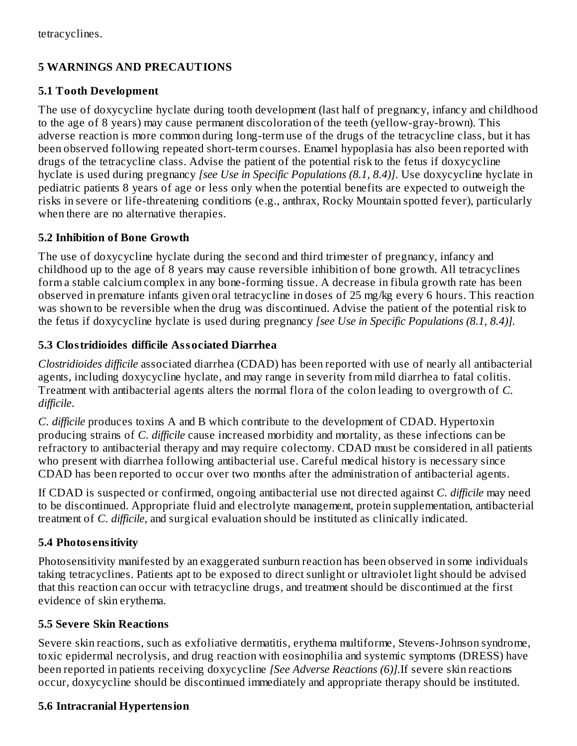### **5 WARNINGS AND PRECAUTIONS**

#### **5.1 Tooth Development**

The use of doxycycline hyclate during tooth development (last half of pregnancy, infancy and childhood to the age of 8 years) may cause permanent discoloration of the teeth (yellow-gray-brown). This adverse reaction is more common during long-term use of the drugs of the tetracycline class, but it has been observed following repeated short-term courses. Enamel hypoplasia has also been reported with drugs of the tetracycline class. Advise the patient of the potential risk to the fetus if doxycycline hyclate is used during pregnancy *[see Use in Specific Populations (8.1, 8.4)]*. Use doxycycline hyclate in pediatric patients 8 years of age or less only when the potential benefits are expected to outweigh the risks in severe or life-threatening conditions (e.g., anthrax, Rocky Mountain spotted fever), particularly when there are no alternative therapies.

### **5.2 Inhibition of Bone Growth**

The use of doxycycline hyclate during the second and third trimester of pregnancy, infancy and childhood up to the age of 8 years may cause reversible inhibition of bone growth. All tetracyclines form a stable calcium complex in any bone-forming tissue. A decrease in fibula growth rate has been observed in premature infants given oral tetracycline in doses of 25 mg/kg every 6 hours. This reaction was shown to be reversible when the drug was discontinued. Advise the patient of the potential risk to the fetus if doxycycline hyclate is used during pregnancy *[see Use in Specific Populations (8.1, 8.4)].*

### **5.3 Clostridioides difficile Associated Diarrhea**

*Clostridioides difficile* associated diarrhea (CDAD) has been reported with use of nearly all antibacterial agents, including doxycycline hyclate, and may range in severity from mild diarrhea to fatal colitis. Treatment with antibacterial agents alters the normal flora of the colon leading to overgrowth of *C. difficile*.

*C. difficile* produces toxins A and B which contribute to the development of CDAD. Hypertoxin producing strains of *C. difficile* cause increased morbidity and mortality, as these infections can be refractory to antibacterial therapy and may require colectomy. CDAD must be considered in all patients who present with diarrhea following antibacterial use. Careful medical history is necessary since CDAD has been reported to occur over two months after the administration of antibacterial agents.

If CDAD is suspected or confirmed, ongoing antibacterial use not directed against *C. difficile* may need to be discontinued. Appropriate fluid and electrolyte management, protein supplementation, antibacterial treatment of *C. difficile*, and surgical evaluation should be instituted as clinically indicated.

### **5.4 Photos ensitivity**

Photosensitivity manifested by an exaggerated sunburn reaction has been observed in some individuals taking tetracyclines. Patients apt to be exposed to direct sunlight or ultraviolet light should be advised that this reaction can occur with tetracycline drugs, and treatment should be discontinued at the first evidence of skin erythema.

### **5.5 Severe Skin Reactions**

Severe skin reactions, such as exfoliative dermatitis, erythema multiforme, Stevens-Johnson syndrome, toxic epidermal necrolysis, and drug reaction with eosinophilia and systemic symptoms (DRESS) have been reported in patients receiving doxycycline *[See Adverse Reactions (6)].*If severe skin reactions occur, doxycycline should be discontinued immediately and appropriate therapy should be instituted.

### **5.6 Intracranial Hypertension**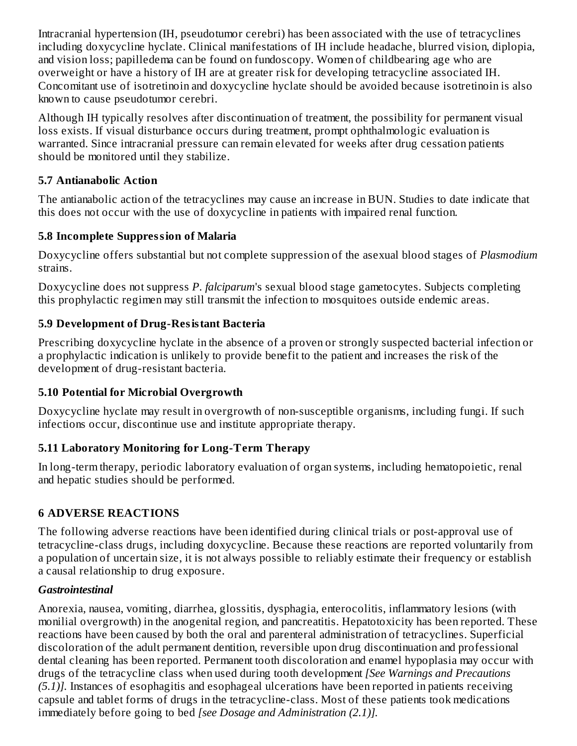Intracranial hypertension (IH, pseudotumor cerebri) has been associated with the use of tetracyclines including doxycycline hyclate. Clinical manifestations of IH include headache, blurred vision, diplopia, and vision loss; papilledema can be found on fundoscopy. Women of childbearing age who are overweight or have a history of IH are at greater risk for developing tetracycline associated IH. Concomitant use of isotretinoin and doxycycline hyclate should be avoided because isotretinoin is also known to cause pseudotumor cerebri.

Although IH typically resolves after discontinuation of treatment, the possibility for permanent visual loss exists. If visual disturbance occurs during treatment, prompt ophthalmologic evaluation is warranted. Since intracranial pressure can remain elevated for weeks after drug cessation patients should be monitored until they stabilize.

### **5.7 Antianabolic Action**

The antianabolic action of the tetracyclines may cause an increase in BUN. Studies to date indicate that this does not occur with the use of doxycycline in patients with impaired renal function.

### **5.8 Incomplete Suppression of Malaria**

Doxycycline offers substantial but not complete suppression of the asexual blood stages of *Plasmodium* strains.

Doxycycline does not suppress *P. falciparum*'s sexual blood stage gametocytes. Subjects completing this prophylactic regimen may still transmit the infection to mosquitoes outside endemic areas.

### **5.9 Development of Drug-Resistant Bacteria**

Prescribing doxycycline hyclate in the absence of a proven or strongly suspected bacterial infection or a prophylactic indication is unlikely to provide benefit to the patient and increases the risk of the development of drug-resistant bacteria.

### **5.10 Potential for Microbial Overgrowth**

Doxycycline hyclate may result in overgrowth of non-susceptible organisms, including fungi. If such infections occur, discontinue use and institute appropriate therapy.

## **5.11 Laboratory Monitoring for Long-Term Therapy**

In long-term therapy, periodic laboratory evaluation of organ systems, including hematopoietic, renal and hepatic studies should be performed.

## **6 ADVERSE REACTIONS**

The following adverse reactions have been identified during clinical trials or post-approval use of tetracycline-class drugs, including doxycycline. Because these reactions are reported voluntarily from a population of uncertain size, it is not always possible to reliably estimate their frequency or establish a causal relationship to drug exposure.

### *Gastrointestinal*

Anorexia, nausea, vomiting, diarrhea, glossitis, dysphagia, enterocolitis, inflammatory lesions (with monilial overgrowth) in the anogenital region, and pancreatitis. Hepatotoxicity has been reported. These reactions have been caused by both the oral and parenteral administration of tetracyclines. Superficial discoloration of the adult permanent dentition, reversible upon drug discontinuation and professional dental cleaning has been reported. Permanent tooth discoloration and enamel hypoplasia may occur with drugs of the tetracycline class when used during tooth development *[See Warnings and Precautions (5.1)].* Instances of esophagitis and esophageal ulcerations have been reported in patients receiving capsule and tablet forms of drugs in the tetracycline-class. Most of these patients took medications immediately before going to bed *[see Dosage and Administration (2.1)].*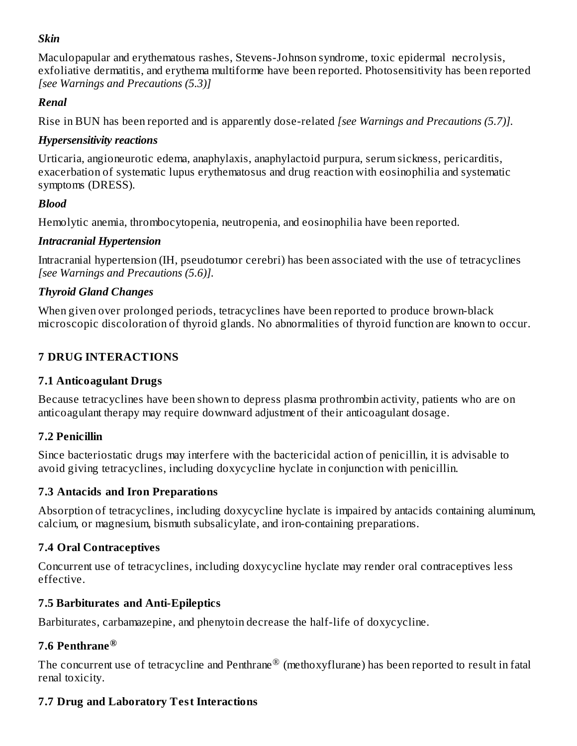#### *Skin*

Maculopapular and erythematous rashes, Stevens-Johnson syndrome, toxic epidermal necrolysis, exfoliative dermatitis, and erythema multiforme have been reported. Photosensitivity has been reported *[see Warnings and Precautions (5.3)]*

#### *Renal*

Rise in BUN has been reported and is apparently dose-related *[see Warnings and Precautions (5.7)].*

#### *Hypersensitivity reactions*

Urticaria, angioneurotic edema, anaphylaxis, anaphylactoid purpura, serum sickness, pericarditis, exacerbation of systematic lupus erythematosus and drug reaction with eosinophilia and systematic symptoms (DRESS).

### *Blood*

Hemolytic anemia, thrombocytopenia, neutropenia, and eosinophilia have been reported.

#### *Intracranial Hypertension*

Intracranial hypertension (IH, pseudotumor cerebri) has been associated with the use of tetracyclines *[see Warnings and Precautions (5.6)].*

#### *Thyroid Gland Changes*

When given over prolonged periods, tetracyclines have been reported to produce brown-black microscopic discoloration of thyroid glands. No abnormalities of thyroid function are known to occur.

### **7 DRUG INTERACTIONS**

### **7.1 Anticoagulant Drugs**

Because tetracyclines have been shown to depress plasma prothrombin activity, patients who are on anticoagulant therapy may require downward adjustment of their anticoagulant dosage.

### **7.2 Penicillin**

Since bacteriostatic drugs may interfere with the bactericidal action of penicillin, it is advisable to avoid giving tetracyclines, including doxycycline hyclate in conjunction with penicillin.

### **7.3 Antacids and Iron Preparations**

Absorption of tetracyclines, including doxycycline hyclate is impaired by antacids containing aluminum, calcium, or magnesium, bismuth subsalicylate, and iron-containing preparations.

### **7.4 Oral Contraceptives**

Concurrent use of tetracyclines, including doxycycline hyclate may render oral contraceptives less effective.

### **7.5 Barbiturates and Anti-Epileptics**

Barbiturates, carbamazepine, and phenytoin decrease the half-life of doxycycline.

### **7.6 Penthrane ®**

The concurrent use of tetracycline and Penthrane $^\circledR$  (methoxyflurane) has been reported to result in fatal renal toxicity.

### **7.7 Drug and Laboratory Test Interactions**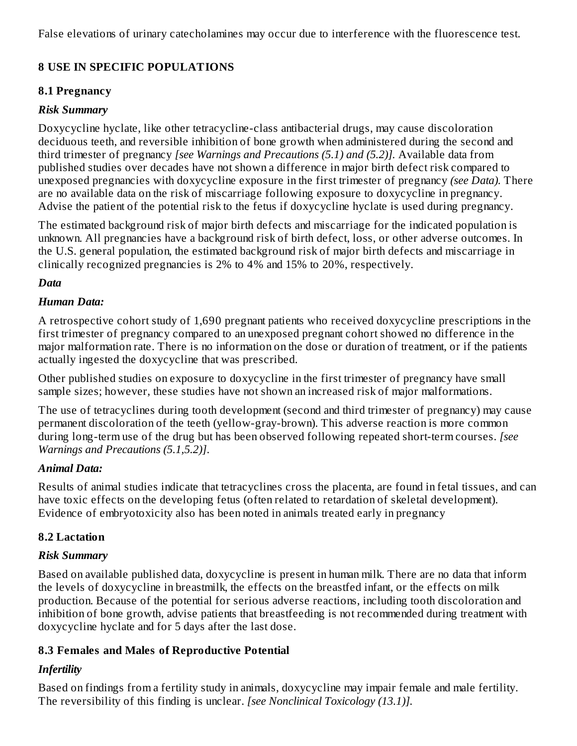False elevations of urinary catecholamines may occur due to interference with the fluorescence test.

### **8 USE IN SPECIFIC POPULATIONS**

#### **8.1 Pregnancy**

#### *Risk Summary*

Doxycycline hyclate, like other tetracycline-class antibacterial drugs, may cause discoloration deciduous teeth, and reversible inhibition of bone growth when administered during the second and third trimester of pregnancy *[see Warnings and Precautions (5.1) and (5.2)].* Available data from published studies over decades have not shown a difference in major birth defect risk compared to unexposed pregnancies with doxycycline exposure in the first trimester of pregnancy *(see Data).* There are no available data on the risk of miscarriage following exposure to doxycycline in pregnancy. Advise the patient of the potential risk to the fetus if doxycycline hyclate is used during pregnancy.

The estimated background risk of major birth defects and miscarriage for the indicated population is unknown. All pregnancies have a background risk of birth defect, loss, or other adverse outcomes. In the U.S. general population, the estimated background risk of major birth defects and miscarriage in clinically recognized pregnancies is 2% to 4% and 15% to 20%, respectively.

#### *Data*

#### *Human Data:*

A retrospective cohort study of 1,690 pregnant patients who received doxycycline prescriptions in the first trimester of pregnancy compared to an unexposed pregnant cohort showed no difference in the major malformation rate. There is no information on the dose or duration of treatment, or if the patients actually ingested the doxycycline that was prescribed.

Other published studies on exposure to doxycycline in the first trimester of pregnancy have small sample sizes; however, these studies have not shown an increased risk of major malformations.

The use of tetracyclines during tooth development (second and third trimester of pregnancy) may cause permanent discoloration of the teeth (yellow-gray-brown). This adverse reaction is more common during long-term use of the drug but has been observed following repeated short-term courses. *[see Warnings and Precautions (5.1,5.2)]*.

#### *Animal Data:*

Results of animal studies indicate that tetracyclines cross the placenta, are found in fetal tissues, and can have toxic effects on the developing fetus (often related to retardation of skeletal development). Evidence of embryotoxicity also has been noted in animals treated early in pregnancy

#### **8.2 Lactation**

#### *Risk Summary*

Based on available published data, doxycycline is present in human milk. There are no data that inform the levels of doxycycline in breastmilk, the effects on the breastfed infant, or the effects on milk production. Because of the potential for serious adverse reactions, including tooth discoloration and inhibition of bone growth, advise patients that breastfeeding is not recommended during treatment with doxycycline hyclate and for 5 days after the last dose.

#### **8.3 Females and Males of Reproductive Potential**

### *Infertility*

Based on findings from a fertility study in animals, doxycycline may impair female and male fertility. The reversibility of this finding is unclear. *[see Nonclinical Toxicology (13.1)].*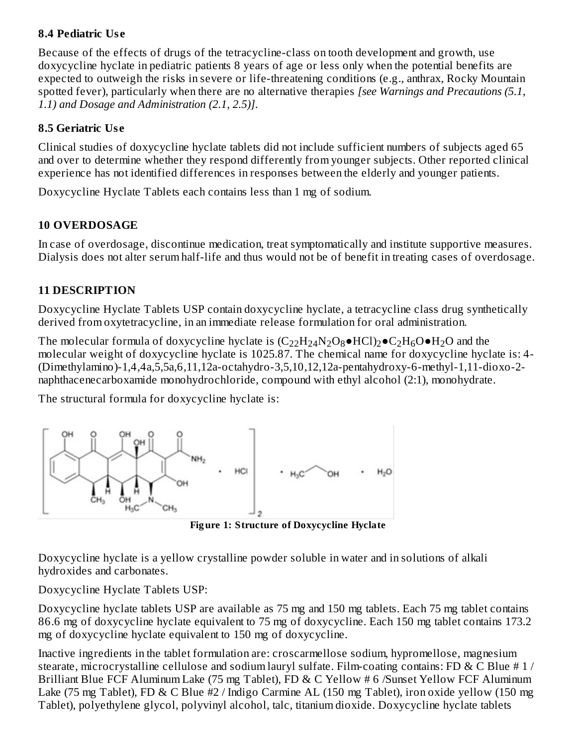### **8.4 Pediatric Us e**

Because of the effects of drugs of the tetracycline-class on tooth development and growth, use doxycycline hyclate in pediatric patients 8 years of age or less only when the potential benefits are expected to outweigh the risks in severe or life-threatening conditions (e.g., anthrax, Rocky Mountain spotted fever), particularly when there are no alternative therapies *[see Warnings and Precautions (5.1, 1.1) and Dosage and Administration (2.1, 2.5)]*.

#### **8.5 Geriatric Us e**

Clinical studies of doxycycline hyclate tablets did not include sufficient numbers of subjects aged 65 and over to determine whether they respond differently from younger subjects. Other reported clinical experience has not identified differences in responses between the elderly and younger patients.

Doxycycline Hyclate Tablets each contains less than 1 mg of sodium.

### **10 OVERDOSAGE**

In case of overdosage, discontinue medication, treat symptomatically and institute supportive measures. Dialysis does not alter serum half-life and thus would not be of benefit in treating cases of overdosage.

### **11 DESCRIPTION**

Doxycycline Hyclate Tablets USP contain doxycycline hyclate, a tetracycline class drug synthetically derived from oxytetracycline, in an immediate release formulation for oral administration.

The molecular formula of doxycycline hyclate is  $(C_{22}H_{24}N_2O_8\bullet HCl)_2\bullet C_2H_6O\bullet H_2O$  and the molecular weight of doxycycline hyclate is 1025.87. The chemical name for doxycycline hyclate is: 4- (Dimethylamino)-1,4,4a,5,5a,6,11,12a-octahydro-3,5,10,12,12a-pentahydroxy-6-methyl-1,11-dioxo-2 naphthacenecarboxamide monohydrochloride, compound with ethyl alcohol (2:1), monohydrate.

The structural formula for doxycycline hyclate is:



**Fig ure 1: Structure of Doxycycline Hyclate**

Doxycycline hyclate is a yellow crystalline powder soluble in water and in solutions of alkali hydroxides and carbonates.

Doxycycline Hyclate Tablets USP:

Doxycycline hyclate tablets USP are available as 75 mg and 150 mg tablets. Each 75 mg tablet contains 86.6 mg of doxycycline hyclate equivalent to 75 mg of doxycycline. Each 150 mg tablet contains 173.2 mg of doxycycline hyclate equivalent to 150 mg of doxycycline.

Inactive ingredients in the tablet formulation are: croscarmellose sodium, hypromellose, magnesium stearate, microcrystalline cellulose and sodium lauryl sulfate. Film-coating contains: FD & C Blue  $# 1/$ Brilliant Blue FCF Aluminum Lake (75 mg Tablet), FD & C Yellow # 6 /Sunset Yellow FCF Aluminum Lake (75 mg Tablet), FD & C Blue #2 / Indigo Carmine AL (150 mg Tablet), iron oxide yellow (150 mg Tablet), polyethylene glycol, polyvinyl alcohol, talc, titanium dioxide. Doxycycline hyclate tablets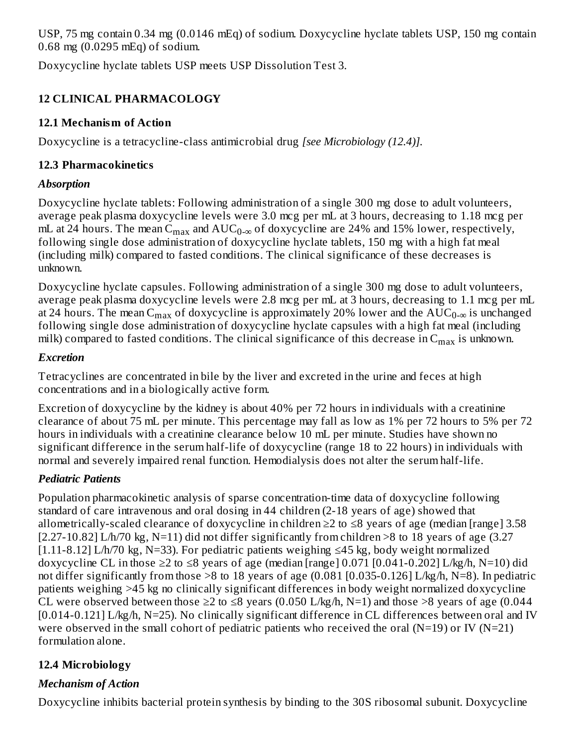USP, 75 mg contain 0.34 mg (0.0146 mEq) of sodium. Doxycycline hyclate tablets USP, 150 mg contain 0.68 mg (0.0295 mEq) of sodium.

Doxycycline hyclate tablets USP meets USP Dissolution Test 3.

# **12 CLINICAL PHARMACOLOGY**

### **12.1 Mechanism of Action**

Doxycycline is a tetracycline-class antimicrobial drug *[see Microbiology (12.4)].*

### **12.3 Pharmacokinetics**

### *Absorption*

Doxycycline hyclate tablets: Following administration of a single 300 mg dose to adult volunteers, average peak plasma doxycycline levels were 3.0 mcg per mL at 3 hours, decreasing to 1.18 mcg per mL at 24 hours. The mean  $\rm C_{max}$  and  $\rm AUC_{0-\infty}$  of doxycycline are 24% and 15% lower, respectively, following single dose administration of doxycycline hyclate tablets, 150 mg with a high fat meal (including milk) compared to fasted conditions. The clinical significance of these decreases is unknown.

Doxycycline hyclate capsules. Following administration of a single 300 mg dose to adult volunteers, average peak plasma doxycycline levels were 2.8 mcg per mL at 3 hours, decreasing to 1.1 mcg per mL at 24 hours. The mean  $\rm{C_{max}}$  of doxycycline is approximately 20% lower and the  $\rm{AUC_{0-\infty}}$  is unchanged following single dose administration of doxycycline hyclate capsules with a high fat meal (including milk) compared to fasted conditions. The clinical significance of this decrease in  $\mathsf{C}_{\max}$  is unknown.

### *Excretion*

Tetracyclines are concentrated in bile by the liver and excreted in the urine and feces at high concentrations and in a biologically active form.

Excretion of doxycycline by the kidney is about 40% per 72 hours in individuals with a creatinine clearance of about 75 mL per minute. This percentage may fall as low as 1% per 72 hours to 5% per 72 hours in individuals with a creatinine clearance below 10 mL per minute. Studies have shown no significant difference in the serum half-life of doxycycline (range 18 to 22 hours) in individuals with normal and severely impaired renal function. Hemodialysis does not alter the serum half-life.

## *Pediatric Patients*

Population pharmacokinetic analysis of sparse concentration-time data of doxycycline following standard of care intravenous and oral dosing in 44 children (2-18 years of age) showed that allometrically-scaled clearance of doxycycline in children ≥2 to ≤8 years of age (median [range] 3.58 [2.27-10.82] L/h/70 kg, N=11) did not differ significantly from children >8 to 18 years of age (3.27 [1.11-8.12] L/h/70 kg, N=33). For pediatric patients weighing ≤45 kg, body weight normalized doxycycline CL in those ≥2 to ≤8 years of age (median [range] 0.071 [0.041-0.202] L/kg/h, N=10) did not differ significantly from those >8 to 18 years of age (0.081 [0.035-0.126] L/kg/h, N=8). In pediatric patients weighing >45 kg no clinically significant differences in body weight normalized doxycycline CL were observed between those  $\geq 2$  to  $\leq 8$  years (0.050 L/kg/h, N=1) and those  $\geq 8$  years of age (0.044 [0.014-0.121] L/kg/h, N=25). No clinically significant difference in CL differences between oral and IV were observed in the small cohort of pediatric patients who received the oral  $(N=19)$  or IV  $(N=21)$ formulation alone.

# **12.4 Microbiology**

# *Mechanism of Action*

Doxycycline inhibits bacterial protein synthesis by binding to the 30S ribosomal subunit. Doxycycline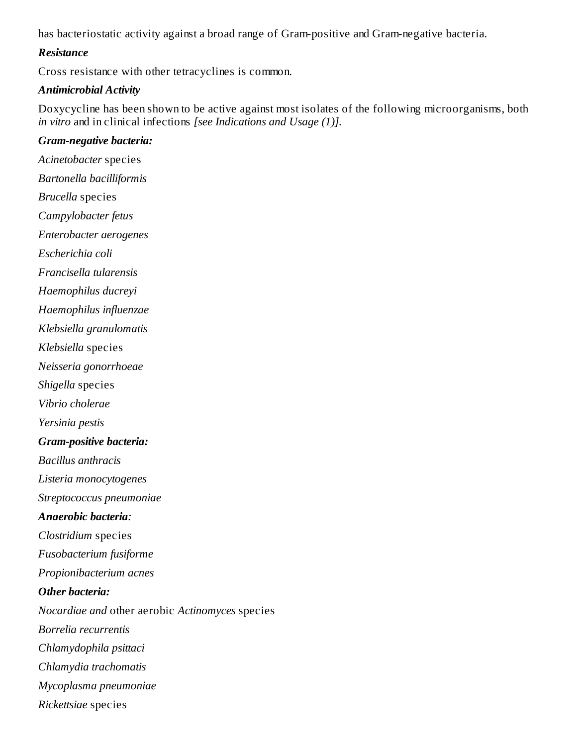has bacteriostatic activity against a broad range of Gram-positive and Gram-negative bacteria.

#### *Resistance*

Cross resistance with other tetracyclines is common.

#### *Antimicrobial Activity*

Doxycycline has been shown to be active against most isolates of the following microorganisms, both *in vitro* and in clinical infections *[see Indications and Usage (1)].*

#### *Gram-negative bacteria:*

*Acinetobacter* species *Bartonella bacilliformis Brucella* species *Campylobacter fetus Enterobacter aerogenes Escherichia coli Francisella tularensis Haemophilus ducreyi Haemophilus influenzae Klebsiella granulomatis Klebsiella* species *Neisseria gonorrhoeae Shigella* species *Vibrio cholerae Yersinia pestis Gram-positive bacteria: Bacillus anthracis Listeria monocytogenes Streptococcus pneumoniae Anaerobic bacteria: Clostridium* species *Fusobacterium fusiforme Propionibacterium acnes Other bacteria: Nocardiae and* other aerobic *Actinomyces* species *Borrelia recurrentis Chlamydophila psittaci Chlamydia trachomatis Mycoplasma pneumoniae Rickettsiae* species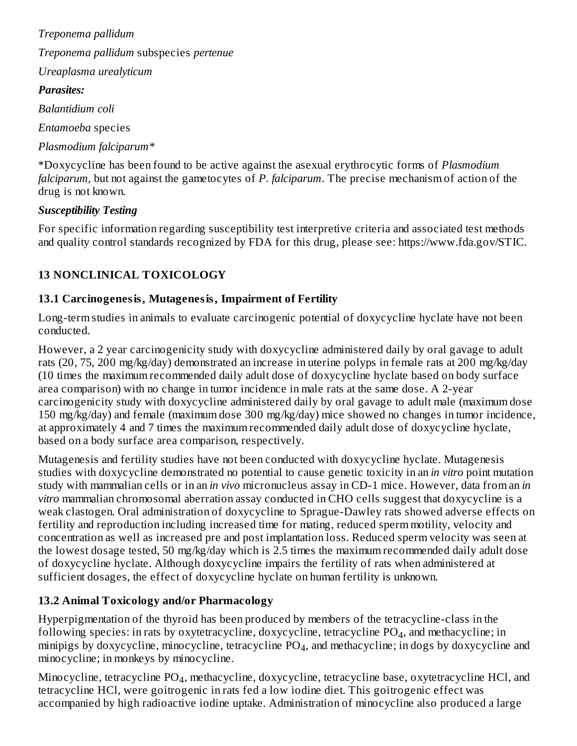*Treponema pallidum Treponema pallidum* subspecies *pertenue Ureaplasma urealyticum Parasites:*

*Balantidium coli*

*Entamoeba* species

*Plasmodium falciparum\**

\*Doxycycline has been found to be active against the asexual erythrocytic forms of *Plasmodium falciparum*, but not against the gametocytes of *P. falciparum*. The precise mechanism of action of the drug is not known.

### *Susceptibility Testing*

For specific information regarding susceptibility test interpretive criteria and associated test methods and quality control standards recognized by FDA for this drug, please see: https://www.fda.gov/STIC.

## **13 NONCLINICAL TOXICOLOGY**

### **13.1 Carcinogenesis, Mutagenesis, Impairment of Fertility**

Long-term studies in animals to evaluate carcinogenic potential of doxycycline hyclate have not been conducted.

However, a 2 year carcinogenicity study with doxycycline administered daily by oral gavage to adult rats (20, 75, 200 mg/kg/day) demonstrated an increase in uterine polyps in female rats at 200 mg/kg/day (10 times the maximum recommended daily adult dose of doxycycline hyclate based on body surface area comparison) with no change in tumor incidence in male rats at the same dose. A 2-year carcinogenicity study with doxycycline administered daily by oral gavage to adult male (maximum dose 150 mg/kg/day) and female (maximum dose 300 mg/kg/day) mice showed no changes in tumor incidence, at approximately 4 and 7 times the maximum recommended daily adult dose of doxycycline hyclate, based on a body surface area comparison, respectively.

Mutagenesis and fertility studies have not been conducted with doxycycline hyclate. Mutagenesis studies with doxycycline demonstrated no potential to cause genetic toxicity in an *in vitro* point mutation study with mammalian cells or in an *in vivo* micronucleus assay in CD-1 mice. However, data from an *in vitro* mammalian chromosomal aberration assay conducted in CHO cells suggest that doxycycline is a weak clastogen. Oral administration of doxycycline to Sprague-Dawley rats showed adverse effects on fertility and reproduction including increased time for mating, reduced sperm motility, velocity and concentration as well as increased pre and post implantation loss. Reduced sperm velocity was seen at the lowest dosage tested, 50 mg/kg/day which is 2.5 times the maximum recommended daily adult dose of doxycycline hyclate. Although doxycycline impairs the fertility of rats when administered at sufficient dosages, the effect of doxycycline hyclate on human fertility is unknown.

## **13.2 Animal Toxicology and/or Pharmacology**

Hyperpigmentation of the thyroid has been produced by members of the tetracycline-class in the following species: in rats by oxytetracycline, doxycycline, tetracycline  $\rm PO_4$ , and methacycline; in  $m$ inipigs by doxycycline,  $m$ inocycline, tetracycline PO $_4$ , and methacycline; in dogs by doxycycline and minocycline; in monkeys by minocycline.

Minocycline, tetracycline  $PO_4$ , methacycline, doxycycline, tetracycline base, oxytetracycline HCl, and tetracycline HCl, were goitrogenic in rats fed a low iodine diet. This goitrogenic effect was accompanied by high radioactive iodine uptake. Administration of minocycline also produced a large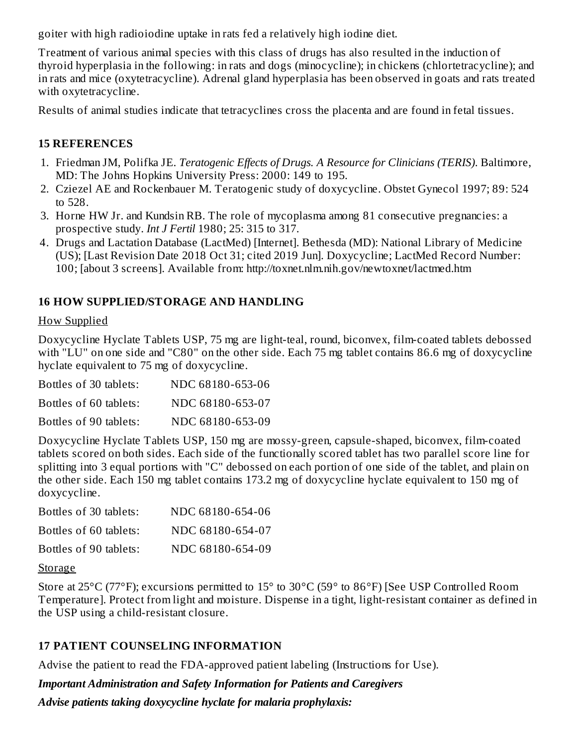goiter with high radioiodine uptake in rats fed a relatively high iodine diet.

Treatment of various animal species with this class of drugs has also resulted in the induction of thyroid hyperplasia in the following: in rats and dogs (minocycline); in chickens (chlortetracycline); and in rats and mice (oxytetracycline). Adrenal gland hyperplasia has been observed in goats and rats treated with oxytetracycline.

Results of animal studies indicate that tetracyclines cross the placenta and are found in fetal tissues.

#### **15 REFERENCES**

- 1. Friedman JM, Polifka JE. *Teratogenic Effects of Drugs. A Resource for Clinicians (TERIS)*. Baltimore, MD: The Johns Hopkins University Press: 2000: 149 to 195.
- 2. Cziezel AE and Rockenbauer M. Teratogenic study of doxycycline. Obstet Gynecol 1997; 89: 524 to 528.
- 3. Horne HW Jr. and Kundsin RB. The role of mycoplasma among 81 consecutive pregnancies: a prospective study. *Int J Fertil* 1980; 25: 315 to 317.
- 4. Drugs and Lactation Database (LactMed) [Internet]. Bethesda (MD): National Library of Medicine (US); [Last Revision Date 2018 Oct 31; cited 2019 Jun]. Doxycycline; LactMed Record Number: 100; [about 3 screens]. Available from: http://toxnet.nlm.nih.gov/newtoxnet/lactmed.htm

#### **16 HOW SUPPLIED/STORAGE AND HANDLING**

#### How Supplied

Doxycycline Hyclate Tablets USP, 75 mg are light-teal, round, biconvex, film-coated tablets debossed with "LU" on one side and "C80" on the other side. Each 75 mg tablet contains 86.6 mg of doxycycline hyclate equivalent to 75 mg of doxycycline.

| Bottles of 30 tablets: | NDC 68180-653-06 |
|------------------------|------------------|
| Bottles of 60 tablets: | NDC 68180-653-07 |
| Bottles of 90 tablets: | NDC 68180-653-09 |

Doxycycline Hyclate Tablets USP, 150 mg are mossy-green, capsule-shaped, biconvex, film-coated tablets scored on both sides. Each side of the functionally scored tablet has two parallel score line for splitting into 3 equal portions with "C" debossed on each portion of one side of the tablet, and plain on the other side. Each 150 mg tablet contains 173.2 mg of doxycycline hyclate equivalent to 150 mg of doxycycline.

| Bottles of 30 tablets: | NDC 68180-654-06 |
|------------------------|------------------|
| Bottles of 60 tablets: | NDC 68180-654-07 |
| Bottles of 90 tablets: | NDC 68180-654-09 |

#### Storage

Store at 25°C (77°F); excursions permitted to 15° to 30°C (59° to 86°F) [See USP Controlled Room Temperature]. Protect from light and moisture. Dispense in a tight, light-resistant container as defined in the USP using a child-resistant closure.

#### **17 PATIENT COUNSELING INFORMATION**

Advise the patient to read the FDA-approved patient labeling (Instructions for Use).

*Important Administration and Safety Information for Patients and Caregivers*

*Advise patients taking doxycycline hyclate for malaria prophylaxis:*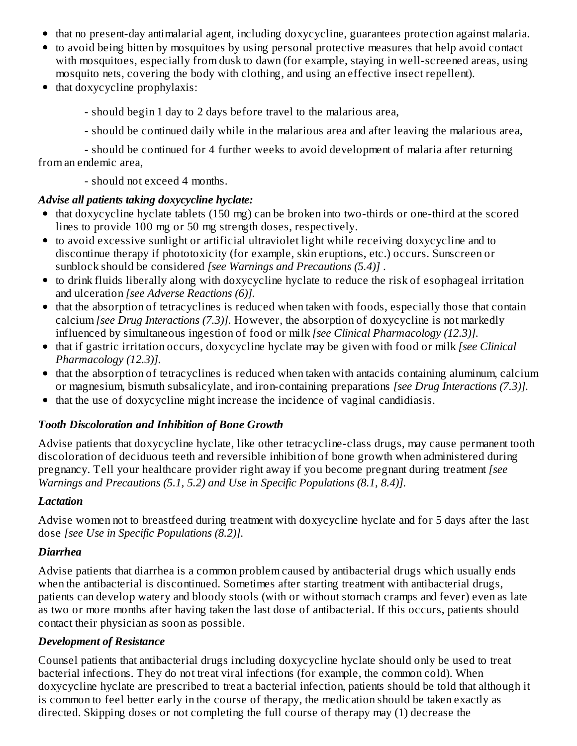- that no present-day antimalarial agent, including doxycycline, guarantees protection against malaria.
- to avoid being bitten by mosquitoes by using personal protective measures that help avoid contact with mosquitoes, especially from dusk to dawn (for example, staying in well-screened areas, using mosquito nets, covering the body with clothing, and using an effective insect repellent).
- $\bullet$  that doxycycline prophylaxis:
	- should begin 1 day to 2 days before travel to the malarious area,
	- should be continued daily while in the malarious area and after leaving the malarious area,

- should be continued for 4 further weeks to avoid development of malaria after returning from an endemic area,

- should not exceed 4 months.

#### *Advise all patients taking doxycycline hyclate:*

- $\bullet$  that doxycycline hyclate tablets (150 mg) can be broken into two-thirds or one-third at the scored lines to provide 100 mg or 50 mg strength doses, respectively.
- to avoid excessive sunlight or artificial ultraviolet light while receiving doxycycline and to discontinue therapy if phototoxicity (for example, skin eruptions, etc.) occurs. Sunscreen or sunblock should be considered *[see Warnings and Precautions (5.4)]* .
- to drink fluids liberally along with doxycycline hyclate to reduce the risk of esophageal irritation and ulceration *[see Adverse Reactions (6)].*
- $\bullet$  that the absorption of tetracyclines is reduced when taken with foods, especially those that contain calcium *[see Drug Interactions (7.3)].* However, the absorption of doxycycline is not markedly influenced by simultaneous ingestion of food or milk *[see Clinical Pharmacology (12.3)].*
- that if gastric irritation occurs, doxycycline hyclate may be given with food or milk *[see Clinical Pharmacology (12.3)].*
- that the absorption of tetracyclines is reduced when taken with antacids containing aluminum, calcium or magnesium, bismuth subsalicylate, and iron-containing preparations *[see Drug Interactions (7.3)].*
- that the use of doxycycline might increase the incidence of vaginal candidiasis.  $\bullet$

### *Tooth Discoloration and Inhibition of Bone Growth*

Advise patients that doxycycline hyclate, like other tetracycline-class drugs, may cause permanent tooth discoloration of deciduous teeth and reversible inhibition of bone growth when administered during pregnancy. Tell your healthcare provider right away if you become pregnant during treatment *[see Warnings and Precautions (5.1, 5.2) and Use in Specific Populations (8.1, 8.4)].*

#### *Lactation*

Advise women not to breastfeed during treatment with doxycycline hyclate and for 5 days after the last dose *[see Use in Specific Populations (8.2)].*

### *Diarrhea*

Advise patients that diarrhea is a common problem caused by antibacterial drugs which usually ends when the antibacterial is discontinued. Sometimes after starting treatment with antibacterial drugs, patients can develop watery and bloody stools (with or without stomach cramps and fever) even as late as two or more months after having taken the last dose of antibacterial. If this occurs, patients should contact their physician as soon as possible.

### *Development of Resistance*

Counsel patients that antibacterial drugs including doxycycline hyclate should only be used to treat bacterial infections. They do not treat viral infections (for example, the common cold). When doxycycline hyclate are prescribed to treat a bacterial infection, patients should be told that although it is common to feel better early in the course of therapy, the medication should be taken exactly as directed. Skipping doses or not completing the full course of therapy may (1) decrease the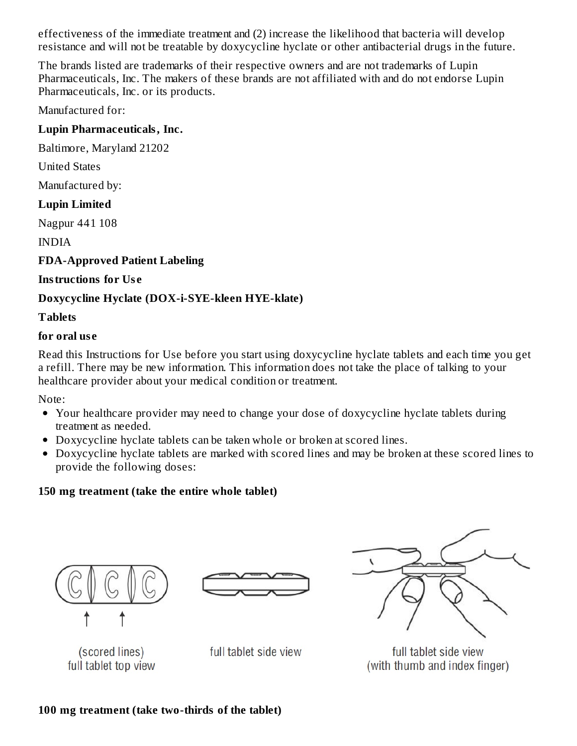effectiveness of the immediate treatment and (2) increase the likelihood that bacteria will develop resistance and will not be treatable by doxycycline hyclate or other antibacterial drugs in the future.

The brands listed are trademarks of their respective owners and are not trademarks of Lupin Pharmaceuticals, Inc. The makers of these brands are not affiliated with and do not endorse Lupin Pharmaceuticals, Inc. or its products.

Manufactured for:

#### **Lupin Pharmaceuticals, Inc.**

Baltimore, Maryland 21202

United States

Manufactured by:

### **Lupin Limited**

Nagpur 441 108

INDIA

#### **FDA-Approved Patient Labeling**

#### **Instructions for Us e**

### **Doxycycline Hyclate (DOX-i-SYE-kleen HYE-klate)**

#### **Tablets**

#### **for oral us e**

Read this Instructions for Use before you start using doxycycline hyclate tablets and each time you get a refill. There may be new information. This information does not take the place of talking to your healthcare provider about your medical condition or treatment.

Note:

- Your healthcare provider may need to change your dose of doxycycline hyclate tablets during treatment as needed.
- Doxycycline hyclate tablets can be taken whole or broken at scored lines.
- Doxycycline hyclate tablets are marked with scored lines and may be broken at these scored lines to provide the following doses:

### **150 mg treatment (take the entire whole tablet)**







full tablet side view (with thumb and index finger)

(scored lines) full tablet top view

full tablet side view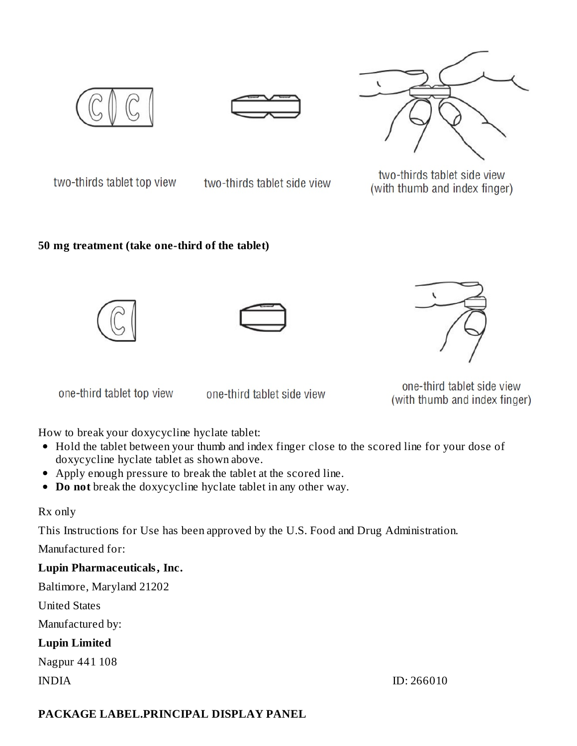





two-thirds tablet top view two-thirds tablet side view

two-thirds tablet side view (with thumb and index finger)

#### **50 mg treatment (take one-third of the tablet)**







one-third tablet top view

one-third tablet side view

one-third tablet side view (with thumb and index finger)

How to break your doxycycline hyclate tablet:

- Hold the tablet between your thumb and index finger close to the scored line for your dose of doxycycline hyclate tablet as shown above.
- Apply enough pressure to break the tablet at the scored line.
- **Do not** break the doxycycline hyclate tablet in any other way.

#### Rx only

This Instructions for Use has been approved by the U.S. Food and Drug Administration.

Manufactured for:

### **Lupin Pharmaceuticals, Inc.**

Baltimore, Maryland 21202

United States

Manufactured by:

### **Lupin Limited**

Nagpur 441 108

### **PACKAGE LABEL.PRINCIPAL DISPLAY PANEL**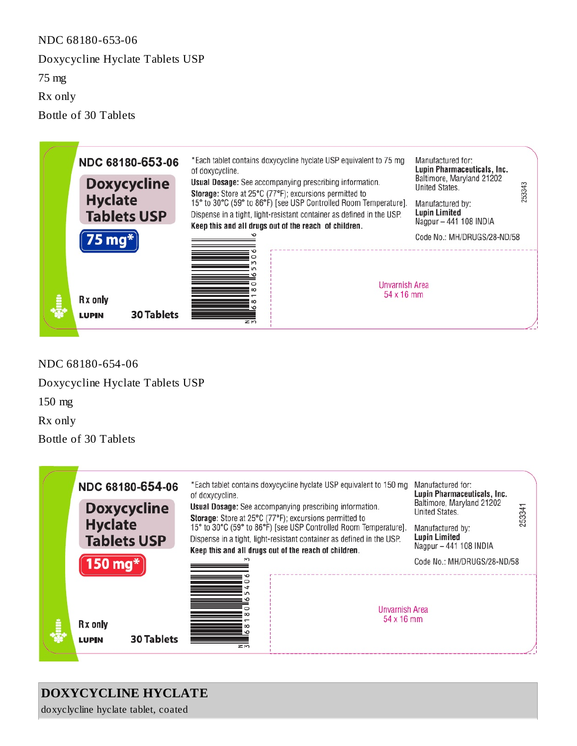NDC 68180-653-06 Doxycycline Hyclate Tablets USP 75 mg Rx only Bottle of 30 Tablets



NDC 68180-654-06 Doxycycline Hyclate Tablets USP 150 mg Rx only

Bottle of 30 Tablets



#### **DOXYCYCLINE HYCLATE**

doxyclycline hyclate tablet, coated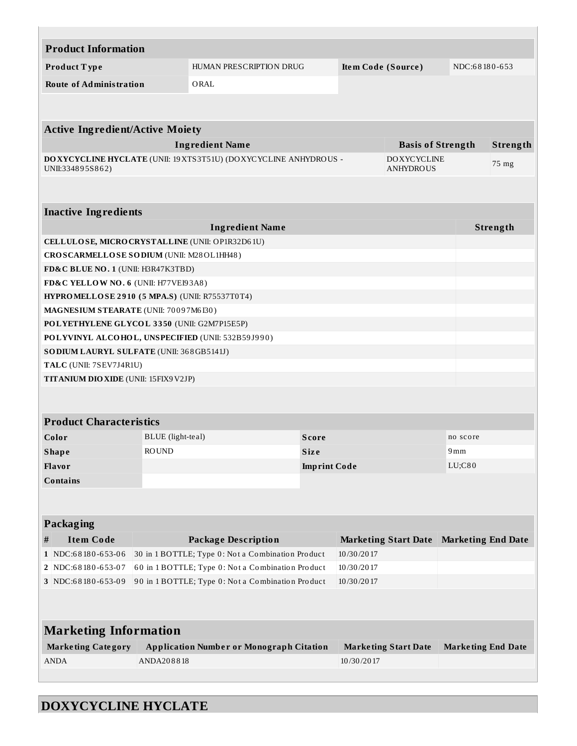| <b>Product Information</b>                        |                                           |                                                                  |  |            |                             |                           |          |  |
|---------------------------------------------------|-------------------------------------------|------------------------------------------------------------------|--|------------|-----------------------------|---------------------------|----------|--|
| Product Type                                      |                                           | HUMAN PRESCRIPTION DRUG<br>Item Code (Source)                    |  |            |                             | NDC:68180-653             |          |  |
| <b>Route of Administration</b>                    |                                           | ORAL                                                             |  |            |                             |                           |          |  |
|                                                   |                                           |                                                                  |  |            |                             |                           |          |  |
|                                                   |                                           |                                                                  |  |            |                             |                           |          |  |
| <b>Active Ingredient/Active Moiety</b>            |                                           |                                                                  |  |            |                             |                           |          |  |
|                                                   |                                           | <b>Ingredient Name</b>                                           |  |            | <b>Basis of Strength</b>    |                           | Strength |  |
|                                                   |                                           | DOXYCYCLINE HYCLATE (UNII: 19 XTS3T51U) (DOXYCYCLINE ANHYDROUS - |  |            | <b>DOXYCYCLINE</b>          |                           | 75 mg    |  |
| UNII:334895S862)<br><b>ANHYDROUS</b>              |                                           |                                                                  |  |            |                             |                           |          |  |
|                                                   |                                           |                                                                  |  |            |                             |                           |          |  |
|                                                   |                                           |                                                                  |  |            |                             |                           |          |  |
| <b>Inactive Ingredients</b>                       |                                           |                                                                  |  |            |                             |                           |          |  |
| CELLULOSE, MICRO CRYSTALLINE (UNII: OP1R32D61U)   |                                           | <b>Ingredient Name</b>                                           |  |            |                             |                           | Strength |  |
| CROSCARMELLOSE SODIUM (UNII: M28OL1HH48)          |                                           |                                                                  |  |            |                             |                           |          |  |
| FD&C BLUE NO. 1 (UNII: H3R47K3TBD)                |                                           |                                                                  |  |            |                             |                           |          |  |
| FD&C YELLOW NO. 6 (UNII: H77VEI93A8)              |                                           |                                                                  |  |            |                             |                           |          |  |
| HYPROMELLOSE 2910 (5 MPA.S) (UNII: R75537T0T4)    |                                           |                                                                  |  |            |                             |                           |          |  |
| MAGNESIUM STEARATE (UNII: 70097M6I30)             |                                           |                                                                  |  |            |                             |                           |          |  |
| POLYETHYLENE GLYCOL 3350 (UNII: G2M7P15E5P)       |                                           |                                                                  |  |            |                             |                           |          |  |
| POLYVINYL ALCOHOL, UNSPECIFIED (UNII: 532B59J990) |                                           |                                                                  |  |            |                             |                           |          |  |
|                                                   |                                           |                                                                  |  |            |                             |                           |          |  |
| TALC (UNII: 7SEV7J4R1U)                           | SO DIUM LAURYL SULFATE (UNII: 368GB5141J) |                                                                  |  |            |                             |                           |          |  |
|                                                   | TITANIUM DIO XIDE (UNII: 15FIX9V2JP)      |                                                                  |  |            |                             |                           |          |  |
|                                                   |                                           |                                                                  |  |            |                             |                           |          |  |
|                                                   |                                           |                                                                  |  |            |                             |                           |          |  |
| <b>Product Characteristics</b>                    |                                           |                                                                  |  |            |                             |                           |          |  |
| Color                                             | BLUE (light-teal)<br>Score                |                                                                  |  | no score   |                             |                           |          |  |
| <b>Shape</b>                                      | ROUND                                     | Size                                                             |  |            | 9mm                         |                           |          |  |
| Flavor                                            |                                           | <b>Imprint Code</b>                                              |  |            | LU; C80                     |                           |          |  |
| <b>Contains</b>                                   |                                           |                                                                  |  |            |                             |                           |          |  |
|                                                   |                                           |                                                                  |  |            |                             |                           |          |  |
|                                                   |                                           |                                                                  |  |            |                             |                           |          |  |
| Packaging                                         |                                           |                                                                  |  |            |                             |                           |          |  |
| <b>Item Code</b><br>#                             |                                           | <b>Package Description</b>                                       |  |            | <b>Marketing Start Date</b> | <b>Marketing End Date</b> |          |  |
| 1 NDC:68180-653-06                                |                                           | 30 in 1 BOTTLE; Type 0: Not a Combination Product<br>10/30/2017  |  |            |                             |                           |          |  |
| 2 NDC:68180-653-07                                |                                           | 60 in 1 BOTTLE; Type 0: Not a Combination Product<br>10/30/2017  |  |            |                             |                           |          |  |
| 3 NDC:68180-653-09                                |                                           | 90 in 1 BOTTLE; Type 0: Not a Combination Product<br>10/30/2017  |  |            |                             |                           |          |  |
|                                                   |                                           |                                                                  |  |            |                             |                           |          |  |
|                                                   |                                           |                                                                  |  |            |                             |                           |          |  |
| <b>Marketing Information</b>                      |                                           |                                                                  |  |            |                             |                           |          |  |
| <b>Marketing Category</b>                         |                                           | <b>Application Number or Monograph Citation</b>                  |  |            | <b>Marketing Start Date</b> | <b>Marketing End Date</b> |          |  |
| <b>ANDA</b>                                       | ANDA208818                                |                                                                  |  | 10/30/2017 |                             |                           |          |  |
|                                                   |                                           |                                                                  |  |            |                             |                           |          |  |

# **DOXYCYCLINE HYCLATE**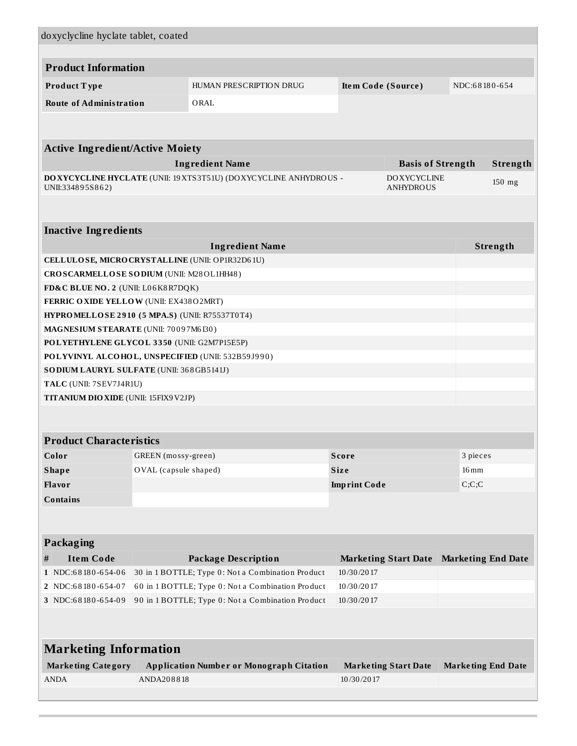| doxyclycline hyclate tablet, coated                                                    |                                          |                                                   |                                   |                             |                           |          |  |
|----------------------------------------------------------------------------------------|------------------------------------------|---------------------------------------------------|-----------------------------------|-----------------------------|---------------------------|----------|--|
| <b>Product Information</b>                                                             |                                          |                                                   |                                   |                             |                           |          |  |
| Product Type                                                                           |                                          | HUMAN PRESCRIPTION DRUG                           | Item Code (Source)                |                             | NDC:68180-654             |          |  |
| <b>Route of Administration</b>                                                         |                                          | ORAL                                              |                                   |                             |                           |          |  |
|                                                                                        |                                          |                                                   |                                   |                             |                           |          |  |
|                                                                                        |                                          |                                                   |                                   |                             |                           |          |  |
| <b>Active Ingredient/Active Moiety</b>                                                 |                                          |                                                   |                                   |                             |                           |          |  |
| <b>Ingredient Name</b><br><b>Basis of Strength</b><br>Strength                         |                                          |                                                   |                                   |                             |                           |          |  |
| DOXYCYCLINE HYCLATE (UNII: 19 XTS3T51U) (DOXYCYCLINE ANHYDROUS -<br><b>DOXYCYCLINE</b> |                                          |                                                   |                                   |                             |                           | 150 mg   |  |
| UNII:334895S862)                                                                       |                                          |                                                   |                                   | <b>ANHYDROUS</b>            |                           |          |  |
|                                                                                        |                                          |                                                   |                                   |                             |                           |          |  |
| <b>Inactive Ingredients</b>                                                            |                                          |                                                   |                                   |                             |                           |          |  |
|                                                                                        |                                          | <b>Ingredient Name</b>                            |                                   |                             |                           | Strength |  |
| CELLULOSE, MICRO CRYSTALLINE (UNII: OP1R32D61U)                                        |                                          |                                                   |                                   |                             |                           |          |  |
| CROSCARMELLOSE SODIUM (UNII: M28OL1HH48)                                               |                                          |                                                   |                                   |                             |                           |          |  |
| FD&C BLUE NO. 2 (UNII: L06K8R7DQK)                                                     |                                          |                                                   |                                   |                             |                           |          |  |
| FERRIC OXIDE YELLOW (UNII: EX438O2MRT)                                                 |                                          |                                                   |                                   |                             |                           |          |  |
| HYPROMELLOSE 2910 (5 MPA.S) (UNII: R75537T0T4)                                         |                                          |                                                   |                                   |                             |                           |          |  |
| MAGNESIUM STEARATE (UNII: 70097M6I30)                                                  |                                          |                                                   |                                   |                             |                           |          |  |
| POLYETHYLENE GLYCOL 3350 (UNII: G2M7P15E5P)                                            |                                          |                                                   |                                   |                             |                           |          |  |
|                                                                                        |                                          | POLYVINYL ALCOHOL, UNSPECIFIED (UNII: 532B59J990) |                                   |                             |                           |          |  |
|                                                                                        | SODIUM LAURYL SULFATE (UNII: 368GB5141J) |                                                   |                                   |                             |                           |          |  |
|                                                                                        | TALC (UNII: 7SEV7J4R1U)                  |                                                   |                                   |                             |                           |          |  |
| TITANIUM DIO XIDE (UNII: 15FIX9V2JP)                                                   |                                          |                                                   |                                   |                             |                           |          |  |
|                                                                                        |                                          |                                                   |                                   |                             |                           |          |  |
| <b>Product Characteristics</b>                                                         |                                          |                                                   |                                   |                             |                           |          |  |
| Color                                                                                  | GREEN (mossy-green)<br>3 pieces<br>Score |                                                   |                                   |                             |                           |          |  |
| <b>Shape</b>                                                                           | OVAL (capsule shaped)                    |                                                   | <b>Size</b><br>$16 \,\mathrm{mm}$ |                             |                           |          |  |
| Flavor                                                                                 |                                          | <b>Imprint Code</b>                               |                                   |                             | C;C;C                     |          |  |
| <b>Contains</b>                                                                        |                                          |                                                   |                                   |                             |                           |          |  |
|                                                                                        |                                          |                                                   |                                   |                             |                           |          |  |
| Packaging                                                                              |                                          |                                                   |                                   |                             |                           |          |  |
| <b>Item Code</b><br>#                                                                  |                                          | <b>Package Description</b>                        |                                   | <b>Marketing Start Date</b> | <b>Marketing End Date</b> |          |  |
| 1 NDC:68180-654-06                                                                     |                                          | 30 in 1 BOTTLE; Type 0: Not a Combination Product | 10/30/2017                        |                             |                           |          |  |
| 2 NDC:68180-654-07                                                                     |                                          | 60 in 1 BOTTLE; Type 0: Not a Combination Product | 10/30/2017                        |                             |                           |          |  |
| 3 NDC:68180-654-09                                                                     |                                          | 90 in 1 BOTTLE; Type 0: Not a Combination Product | 10/30/2017                        |                             |                           |          |  |
|                                                                                        |                                          |                                                   |                                   |                             |                           |          |  |
| <b>Marketing Information</b>                                                           |                                          |                                                   |                                   |                             |                           |          |  |
|                                                                                        |                                          |                                                   |                                   |                             |                           |          |  |
| <b>Marketing Category</b>                                                              |                                          | <b>Application Number or Monograph Citation</b>   |                                   | <b>Marketing Start Date</b> | <b>Marketing End Date</b> |          |  |
| <b>ANDA</b>                                                                            | ANDA208818                               |                                                   | 10/30/2017                        |                             |                           |          |  |
|                                                                                        |                                          |                                                   |                                   |                             |                           |          |  |